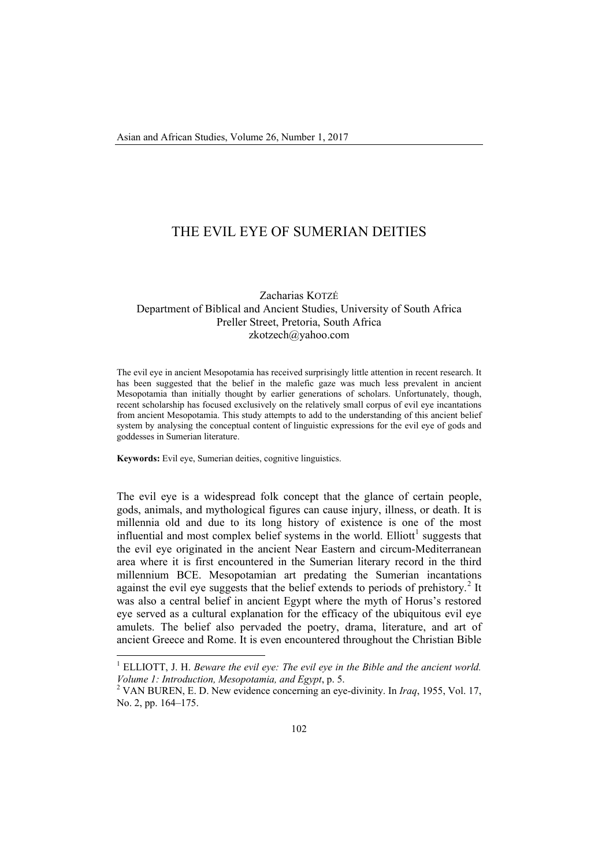# THE EVIL EYE OF SUMERIAN DEITIES

Zacharias KOTZÉ Department of Biblical and Ancient Studies, University of South Africa Preller Street, Pretoria, South Africa [zkotzech@yahoo.com](mailto:zkotzech@yahoo.com)

The evil eye in ancient Mesopotamia has received surprisingly little attention in recent research. It has been suggested that the belief in the malefic gaze was much less prevalent in ancient Mesopotamia than initially thought by earlier generations of scholars. Unfortunately, though, recent scholarship has focused exclusively on the relatively small corpus of evil eye incantations from ancient Mesopotamia. This study attempts to add to the understanding of this ancient belief system by analysing the conceptual content of linguistic expressions for the evil eye of gods and goddesses in Sumerian literature.

**Keywords:** Evil eye, Sumerian deities, cognitive linguistics.

 $\overline{\phantom{a}}$ 

The evil eye is a widespread folk concept that the glance of certain people, gods, animals, and mythological figures can cause injury, illness, or death. It is millennia old and due to its long history of existence is one of the most influential and most complex belief systems in the world. Elliott<sup>[1](#page-0-0)</sup> suggests that the evil eye originated in the ancient Near Eastern and circum-Mediterranean area where it is first encountered in the Sumerian literary record in the third millennium BCE. Mesopotamian art predating the Sumerian incantations against the evil eye suggests that the belief extends to periods of prehistory.<sup>[2](#page-0-1)</sup> It was also a central belief in ancient Egypt where the myth of Horus's restored eye served as a cultural explanation for the efficacy of the ubiquitous evil eye amulets. The belief also pervaded the poetry, drama, literature, and art of ancient Greece and Rome. It is even encountered throughout the Christian Bible

<span id="page-0-0"></span><sup>1</sup> ELLIOTT, J. H. *Beware the evil eye: The evil eye in the Bible and the ancient world. Volume 1: Introduction, Mesopotamia, and Egypt, p. 5.* 2 VAN BUREN, E. D. New evidence concerning an eye-divinity. In *Iraq, 1955, Vol. 17,* 

<span id="page-0-1"></span>No. 2, pp. 164–175.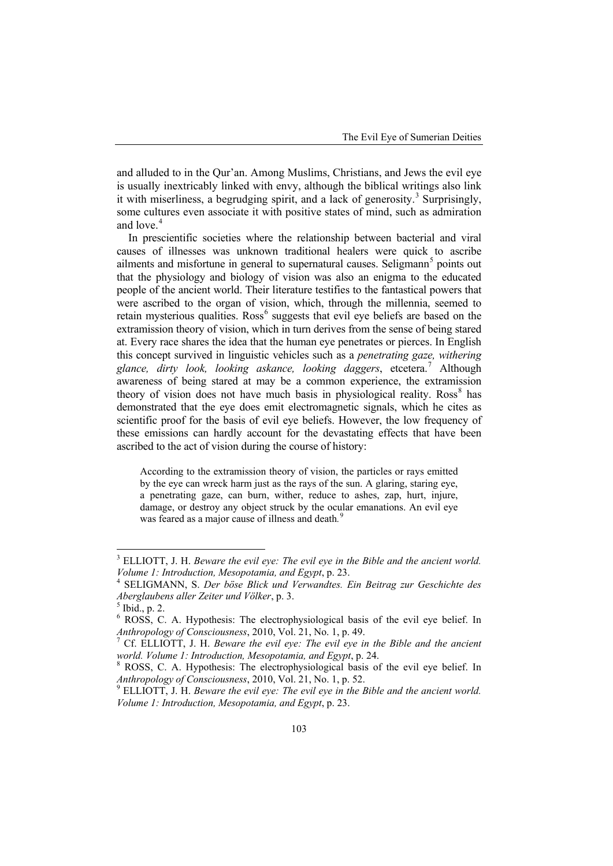and alluded to in the Qur'an. Among Muslims, Christians, and Jews the evil eye is usually inextricably linked with envy, although the biblical writings also link it with miserliness, a begrudging spirit, and a lack of generosity. [3](#page-1-0) Surprisingly, some cultures even associate it with positive states of mind, such as admiration and love. [4](#page-1-1)

In prescientific societies where the relationship between bacterial and viral causes of illnesses was unknown traditional healers were quick to ascribe ailments and misfortune in general to supernatural causes. Seligmann<sup>[5](#page-1-2)</sup> points out that the physiology and biology of vision was also an enigma to the educated people of the ancient world. Their literature testifies to the fantastical powers that were ascribed to the organ of vision, which, through the millennia, seemed to retain mysterious qualities. Ross<sup>[6](#page-1-3)</sup> suggests that evil eye beliefs are based on the extramission theory of vision, which in turn derives from the sense of being stared at. Every race shares the idea that the human eye penetrates or pierces. In English this concept survived in linguistic vehicles such as a *penetrating gaze, withering glance, dirty look, looking askance, looking daggers*, etcetera. [7](#page-1-4) Although awareness of being stared at may be a common experience, the extramission theory of vision does not have much basis in physiological reality. Ross<sup>[8](#page-1-5)</sup> has demonstrated that the eye does emit electromagnetic signals, which he cites as scientific proof for the basis of evil eye beliefs. However, the low frequency of these emissions can hardly account for the devastating effects that have been ascribed to the act of vision during the course of history:

According to the extramission theory of vision, the particles or rays emitted by the eye can wreck harm just as the rays of the sun. A glaring, staring eye, a penetrating gaze, can burn, wither, reduce to ashes, zap, hurt, injure, damage, or destroy any object struck by the ocular emanations. An evil eye was feared as a major cause of illness and death*.* [9](#page-1-6)

 $\overline{\phantom{a}}$ 

<span id="page-1-0"></span><sup>3</sup> ELLIOTT, J. H. *Beware the evil eye: The evil eye in the Bible and the ancient world. Volume 1: Introduction, Mesopotamia, and Egypt*, p. 23. <sup>4</sup> SELIGMANN, S. *Der böse Blick und Verwandtes. Ein Beitrag zur Geschichte des* 

<span id="page-1-1"></span>*Aberglaubens aller Zeiter und Völker*, p. 3. <sup>5</sup> Ibid., p. 2.

<span id="page-1-3"></span><span id="page-1-2"></span><sup>&</sup>lt;sup>6</sup> ROSS, C. A. Hypothesis: The electrophysiological basis of the evil eye belief. In *Anthropology of Consciousness*, 2010, Vol. 21, No. 1, p. 49.

<span id="page-1-4"></span><sup>&</sup>lt;sup>7</sup> Cf. ELLIOTT, J. H. *Beware the evil eye: The evil eye in the Bible and the ancient world. <i>Volume 1: Introduction, Mesopotamia, and Egypt, p. 24.* 

<span id="page-1-5"></span><sup>&</sup>lt;sup>8</sup> ROSS, C. A. Hypothesis: The electrophysiological basis of the evil eye belief. In *Anthropology of Consciousness*, 2010, Vol. 21, No. 1, p. 52.<br><sup>9</sup> ELLIOTT, J. H. *Beware the evil eve: The evil eve in the Bible and the ancient world.* 

<span id="page-1-6"></span>*Volume 1: Introduction, Mesopotamia, and Egypt*, p. 23.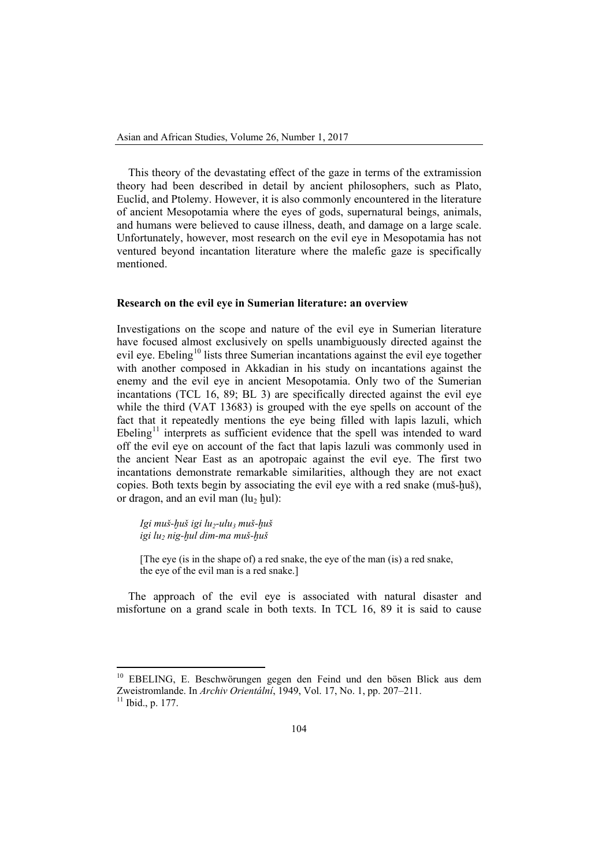This theory of the devastating effect of the gaze in terms of the extramission theory had been described in detail by ancient philosophers, such as Plato, Euclid, and Ptolemy. However, it is also commonly encountered in the literature of ancient Mesopotamia where the eyes of gods, supernatural beings, animals, and humans were believed to cause illness, death, and damage on a large scale. Unfortunately, however, most research on the evil eye in Mesopotamia has not ventured beyond incantation literature where the malefic gaze is specifically mentioned.

### **Research on the evil eye in Sumerian literature: an overview**

Investigations on the scope and nature of the evil eye in Sumerian literature have focused almost exclusively on spells unambiguously directed against the evil eye. Ebeling<sup>[10](#page-2-0)</sup> lists three Sumerian incantations against the evil eye together with another composed in Akkadian in his study on incantations against the enemy and the evil eye in ancient Mesopotamia. Only two of the Sumerian incantations (TCL 16, 89; BL 3) are specifically directed against the evil eye while the third (VAT 13683) is grouped with the eye spells on account of the fact that it repeatedly mentions the eye being filled with lapis lazuli, which Ebeling<sup>[11](#page-2-1)</sup> interprets as sufficient evidence that the spell was intended to ward off the evil eye on account of the fact that lapis lazuli was commonly used in the ancient Near East as an apotropaic against the evil eye. The first two incantations demonstrate remarkable similarities, although they are not exact copies. Both texts begin by associating the evil eye with a red snake (muš-huš), or dragon, and an evil man  $(lu_2 \text{ hul})$ :

*Igi muš-ḫuš igi lu2-ulu3 muš-ḫuš igi lu2 nig-ḫul dim-ma muš-ḫuš*

[The eye (is in the shape of) a red snake, the eye of the man (is) a red snake, the eye of the evil man is a red snake.]

The approach of the evil eye is associated with natural disaster and misfortune on a grand scale in both texts. In TCL 16, 89 it is said to cause

 $\overline{\phantom{a}}$ 

<span id="page-2-0"></span><sup>&</sup>lt;sup>10</sup> EBELING, E. Beschwörungen gegen den Feind und den bösen Blick aus dem Zweistromlande. In *Archiv Orientální*, 1949, Vol. 17, No. 1, pp. 207–211.<br><sup>11</sup> Ibid., p. 177.

<span id="page-2-1"></span>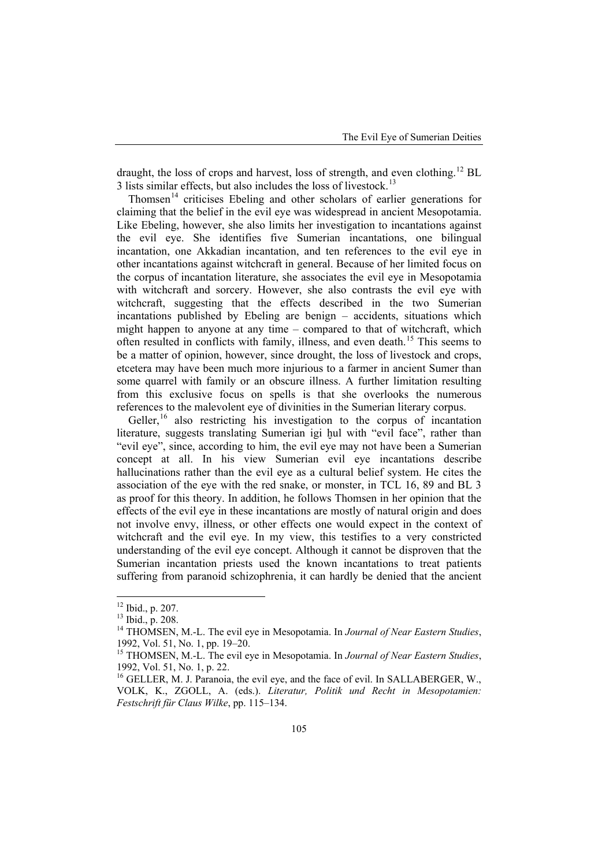draught, the loss of crops and harvest, loss of strength, and even clothing.<sup>[12](#page-3-0)</sup> BL 3 lists similar effects, but also includes the loss of livestock.<sup>[13](#page-3-1)</sup>

Thomsen<sup>[14](#page-3-2)</sup> criticises Ebeling and other scholars of earlier generations for claiming that the belief in the evil eye was widespread in ancient Mesopotamia. Like Ebeling, however, she also limits her investigation to incantations against the evil eye. She identifies five Sumerian incantations, one bilingual incantation, one Akkadian incantation, and ten references to the evil eve in other incantations against witchcraft in general. Because of her limited focus on the corpus of incantation literature, she associates the evil eye in Mesopotamia with witchcraft and sorcery. However, she also contrasts the evil eye with witchcraft, suggesting that the effects described in the two Sumerian incantations published by Ebeling are benign – accidents, situations which might happen to anyone at any time – compared to that of witchcraft, which often resulted in conflicts with family, illness, and even death. [15](#page-3-3) This seems to be a matter of opinion, however, since drought, the loss of livestock and crops, etcetera may have been much more injurious to a farmer in ancient Sumer than some quarrel with family or an obscure illness. A further limitation resulting from this exclusive focus on spells is that she overlooks the numerous references to the malevolent eye of divinities in the Sumerian literary corpus.

Geller,<sup>[16](#page-3-4)</sup> also restricting his investigation to the corpus of incantation literature, suggests translating Sumerian igi hul with "evil face", rather than "evil eye", since, according to him, the evil eye may not have been a Sumerian concept at all. In his view Sumerian evil eye incantations describe hallucinations rather than the evil eye as a cultural belief system. He cites the association of the eye with the red snake, or monster, in TCL 16, 89 and BL 3 as proof for this theory. In addition, he follows Thomsen in her opinion that the effects of the evil eye in these incantations are mostly of natural origin and does not involve envy, illness, or other effects one would expect in the context of witchcraft and the evil eye. In my view, this testifies to a very constricted understanding of the evil eye concept. Although it cannot be disproven that the Sumerian incantation priests used the known incantations to treat patients suffering from paranoid schizophrenia, it can hardly be denied that the ancient

<span id="page-3-0"></span> $12$  Ibid., p. 207.

<span id="page-3-2"></span><span id="page-3-1"></span><sup>&</sup>lt;sup>13</sup> Ibid., p. 208.<br><sup>14</sup> THOMSEN, M.-L. The evil eye in Mesopotamia. In *Journal of Near Eastern Studies*, 1992, Vol. 51, No. 1, pp. 19–20.<br><sup>15</sup> THOMSEN, M.-L. The evil eye in Mesopotamia. In *Journal of Near Eastern Studies*,

<span id="page-3-3"></span><sup>1992,</sup> Vol. 51, No. 1, p. 22.

<span id="page-3-4"></span> $16$  GELLER, M. J. Paranoia, the evil eye, and the face of evil. In SALLABERGER, W., VOLK, K., ZGOLL, A. (eds.). *Literatur, Politik und Recht in Mesopotamien: Festschrift für Claus Wilke*, pp. 115–134.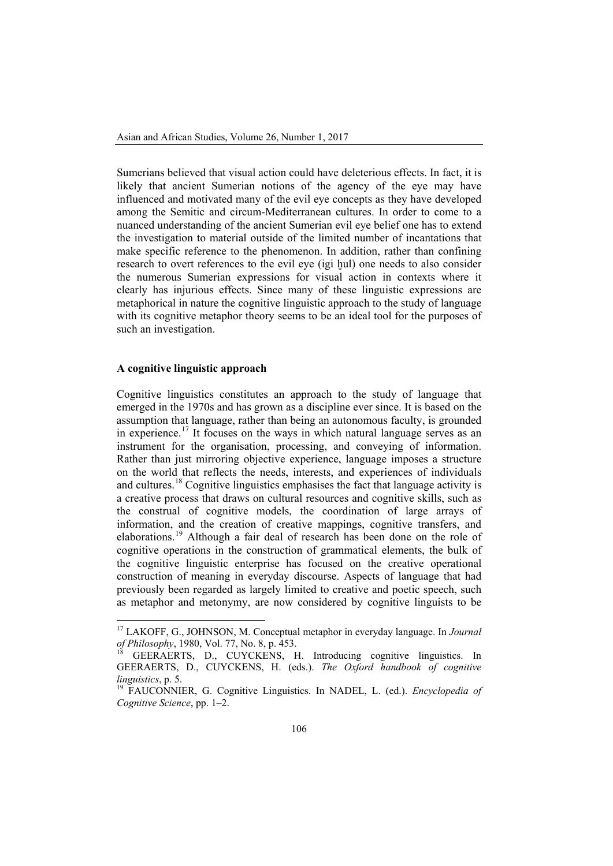Sumerians believed that visual action could have deleterious effects. In fact, it is likely that ancient Sumerian notions of the agency of the eye may have influenced and motivated many of the evil eye concepts as they have developed among the Semitic and circum-Mediterranean cultures. In order to come to a nuanced understanding of the ancient Sumerian evil eye belief one has to extend the investigation to material outside of the limited number of incantations that make specific reference to the phenomenon. In addition, rather than confining research to overt references to the evil eye (igi hul) one needs to also consider the numerous Sumerian expressions for visual action in contexts where it clearly has injurious effects. Since many of these linguistic expressions are metaphorical in nature the cognitive linguistic approach to the study of language with its cognitive metaphor theory seems to be an ideal tool for the purposes of such an investigation.

## **A cognitive linguistic approach**

 $\overline{\phantom{a}}$ 

Cognitive linguistics constitutes an approach to the study of language that emerged in the 1970s and has grown as a discipline ever since. It is based on the assumption that language, rather than being an autonomous faculty, is grounded in experience.<sup>[17](#page-4-0)</sup> It focuses on the ways in which natural language serves as an instrument for the organisation, processing, and conveying of information. Rather than just mirroring objective experience, language imposes a structure on the world that reflects the needs, interests, and experiences of individuals and cultures.<sup>[18](#page-4-1)</sup> Cognitive linguistics emphasises the fact that language activity is a creative process that draws on cultural resources and cognitive skills, such as the construal of cognitive models, the coordination of large arrays of information, and the creation of creative mappings, cognitive transfers, and elaborations.<sup>[19](#page-4-2)</sup> Although a fair deal of research has been done on the role of cognitive operations in the construction of grammatical elements, the bulk of the cognitive linguistic enterprise has focused on the creative operational construction of meaning in everyday discourse. Aspects of language that had previously been regarded as largely limited to creative and poetic speech, such as metaphor and metonymy, are now considered by cognitive linguists to be

<span id="page-4-0"></span><sup>17</sup> LAKOFF, G., JOHNSON, M. Conceptual metaphor in everyday language. In *Journal of Philosophy*, 1980, Vol. 77, No. 8, p. 453.<br><sup>18</sup> GEERAERTS, D., CUYCKENS, H. Introducing cognitive linguistics. In

<span id="page-4-1"></span>GEERAERTS, D., CUYCKENS, H. (eds.). *The Oxford handbook of cognitive linguistics*, p. 5.<br><sup>19</sup> FAUCONNIER, G. Cognitive Linguistics. In NADEL, L. (ed.). *Encyclopedia of* 

<span id="page-4-2"></span>*Cognitive Science*, pp. 1–2.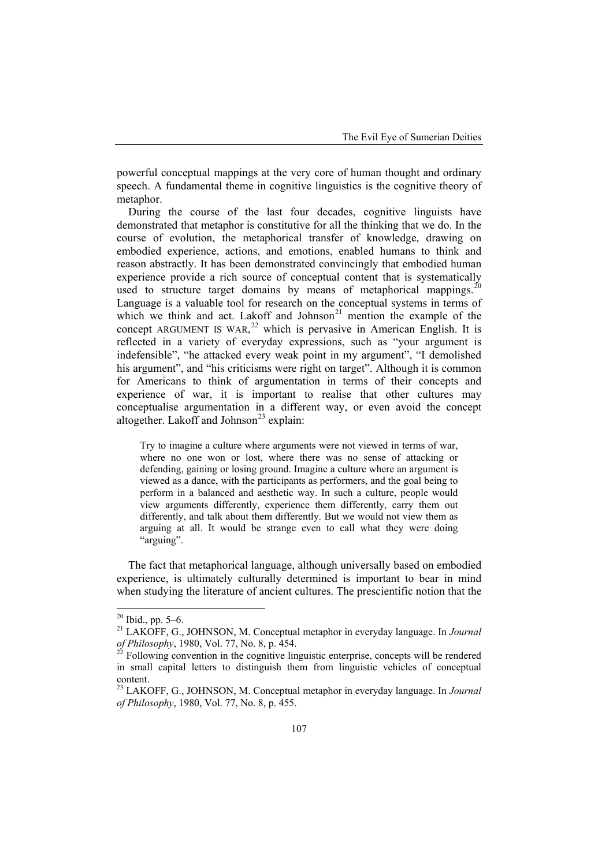powerful conceptual mappings at the very core of human thought and ordinary speech. A fundamental theme in cognitive linguistics is the cognitive theory of metaphor.

During the course of the last four decades, cognitive linguists have demonstrated that metaphor is constitutive for all the thinking that we do. In the course of evolution, the metaphorical transfer of knowledge, drawing on embodied experience, actions, and emotions, enabled humans to think and reason abstractly. It has been demonstrated convincingly that embodied human experience provide a rich source of conceptual content that is systematically used to structure target domains by means of metaphorical mappings.<sup>[20](#page-5-0)</sup> Language is a valuable tool for research on the conceptual systems in terms of which we think and act. Lakoff and Johnson<sup>[21](#page-5-1)</sup> mention the example of the concept ARGUMENT IS WAR, $^{22}$  $^{22}$  $^{22}$  which is pervasive in American English. It is reflected in a variety of everyday expressions, such as "your argument is indefensible", "he attacked every weak point in my argument", "I demolished his argument", and "his criticisms were right on target". Although it is common for Americans to think of argumentation in terms of their concepts and experience of war, it is important to realise that other cultures may conceptualise argumentation in a different way, or even avoid the concept altogether. Lakoff and Johnson<sup>[23](#page-5-3)</sup> explain:

Try to imagine a culture where arguments were not viewed in terms of war, where no one won or lost, where there was no sense of attacking or defending, gaining or losing ground. Imagine a culture where an argument is viewed as a dance, with the participants as performers, and the goal being to perform in a balanced and aesthetic way. In such a culture, people would view arguments differently, experience them differently, carry them out differently, and talk about them differently. But we would not view them as arguing at all. It would be strange even to call what they were doing "arguing".

The fact that metaphorical language, although universally based on embodied experience, is ultimately culturally determined is important to bear in mind when studying the literature of ancient cultures. The prescientific notion that the

<span id="page-5-0"></span> $20$  Ibid., pp. 5–6.

<span id="page-5-1"></span><sup>&</sup>lt;sup>21</sup> LAKOFF, G., JOHNSON, M. Conceptual metaphor in everyday language. In *Journal of Philosophy*, 1980, Vol. 77, No. 8, p. 454.<br><sup>22</sup> Following convention in the cognitive linguistic enterprise, concepts will be rendered

<span id="page-5-2"></span>in small capital letters to distinguish them from linguistic vehicles of conceptual content.

<span id="page-5-3"></span><sup>23</sup> LAKOFF, G., JOHNSON, M. Conceptual metaphor in everyday language. In *Journal of Philosophy*, 1980, Vol. 77, No. 8, p. 455.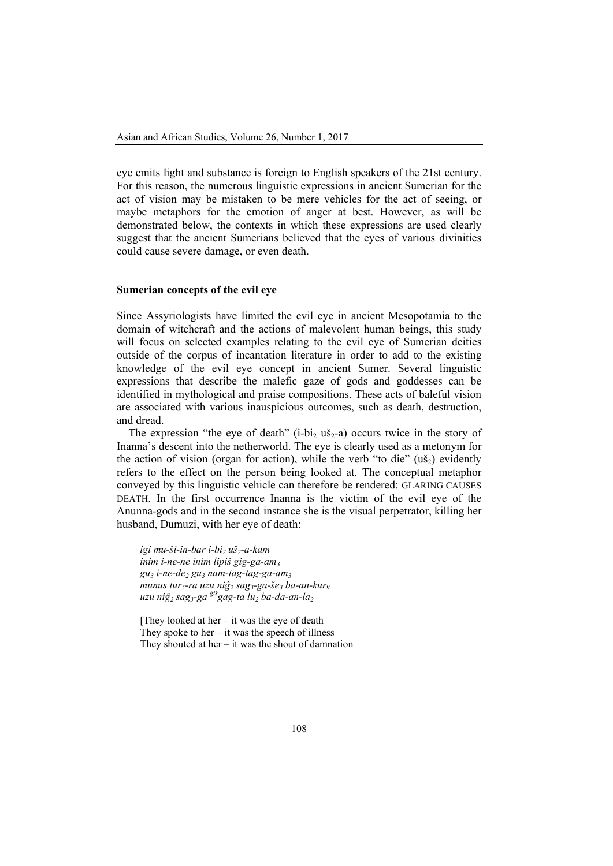eye emits light and substance is foreign to English speakers of the 21st century. For this reason, the numerous linguistic expressions in ancient Sumerian for the act of vision may be mistaken to be mere vehicles for the act of seeing, or maybe metaphors for the emotion of anger at best. However, as will be demonstrated below, the contexts in which these expressions are used clearly suggest that the ancient Sumerians believed that the eyes of various divinities could cause severe damage, or even death.

## **Sumerian concepts of the evil eye**

Since Assyriologists have limited the evil eye in ancient Mesopotamia to the domain of witchcraft and the actions of malevolent human beings, this study will focus on selected examples relating to the evil eye of Sumerian deities outside of the corpus of incantation literature in order to add to the existing knowledge of the evil eye concept in ancient Sumer. Several linguistic expressions that describe the malefic gaze of gods and goddesses can be identified in mythological and praise compositions. These acts of baleful vision are associated with various inauspicious outcomes, such as death, destruction, and dread.

The expression "the eye of death" ( $i-bi<sub>2</sub>$  uš<sub>2</sub>-a) occurs twice in the story of Inanna's descent into the netherworld. The eye is clearly used as a metonym for the action of vision (organ for action), while the verb "to die"  $(u\check{s}_2)$  evidently refers to the effect on the person being looked at. The conceptual metaphor conveyed by this linguistic vehicle can therefore be rendered: GLARING CAUSES DEATH. In the first occurrence Inanna is the victim of the evil eye of the Anunna-gods and in the second instance she is the visual perpetrator, killing her husband, Dumuzi, with her eye of death:

*igi mu-ši-in-bar i-bi2 uš2-a-kam inim i-ne-ne inim lipiš gig-ga-am3 gu3 i-ne-de2 gu3 nam-tag-tag-ga-am3 munus tur5-ra uzu niĝ<sup>2</sup> sag3-ga-še3 ba-an-kur9 uzu niĝ<sup>2</sup> sag3-ga <sup>ĝ</sup>iš gag-ta lu2 ba-da-an-la2*

[They looked at her – it was the eye of death] They spoke to her  $-$  it was the speech of illness They shouted at her  $-$  it was the shout of damnation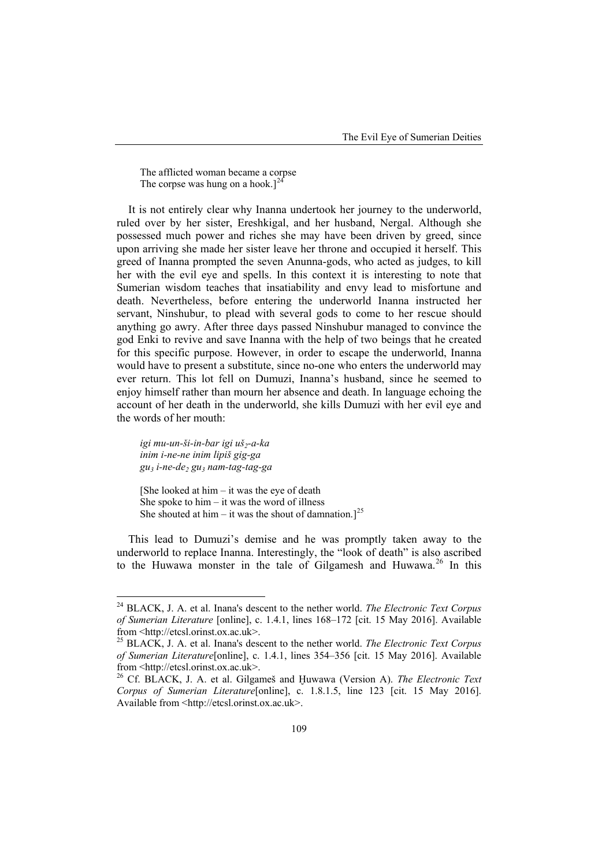The afflicted woman became a corpse The corpse was hung on a hook.] $^{24}$  $^{24}$  $^{24}$ 

It is not entirely clear why Inanna undertook her journey to the underworld, ruled over by her sister, Ereshkigal, and her husband, Nergal. Although she possessed much power and riches she may have been driven by greed, since upon arriving she made her sister leave her throne and occupied it herself. This greed of Inanna prompted the seven Anunna-gods, who acted as judges, to kill her with the evil eye and spells. In this context it is interesting to note that Sumerian wisdom teaches that insatiability and envy lead to misfortune and death. Nevertheless, before entering the underworld Inanna instructed her servant, Ninshubur, to plead with several gods to come to her rescue should anything go awry. After three days passed Ninshubur managed to convince the god Enki to revive and save Inanna with the help of two beings that he created for this specific purpose. However, in order to escape the underworld, Inanna would have to present a substitute, since no-one who enters the underworld may ever return. This lot fell on Dumuzi, Inanna's husband, since he seemed to enjoy himself rather than mourn her absence and death. In language echoing the account of her death in the underworld, she kills Dumuzi with her evil eye and the words of her mouth:

igi mu-un-ši-in-bar igi uš<sub>2</sub>-a-ka *inim i-ne-ne inim lipiš gig-ga gu3 i-ne-de2 gu3 nam-tag-tag-ga*

 $\overline{\phantom{a}}$ 

[She looked at him  $-$  it was the eye of death She spoke to  $him - it$  was the word of illness She shouted at him – it was the shout of damnation.]<sup>[25](#page-7-1)</sup>

This lead to Dumuzi's demise and he was promptly taken away to the underworld to replace Inanna. Interestingly, the "look of death" is also ascribed to the Huwawa monster in the tale of Gilgamesh and Huwawa.<sup>[26](#page-7-2)</sup> In this

<span id="page-7-0"></span><sup>24</sup> BLACK, J. A. et al. Inana's descent to the nether world. *The Electronic Text Corpus of Sumerian Literature* [online], c. 1.4.1, lines 168–172 [cit. 15 May 2016]. Available from [<http://etcsl.orinst.ox.ac.uk>](http://etcsl.orinst.ox.ac.uk/). <sup>25</sup> BLACK, J. A. et al. Inana's descent to the nether world. *The Electronic Text Corpus* 

<span id="page-7-1"></span>*of Sumerian Literature*[online], c. 1.4.1, lines 354–356 [cit. 15 May 2016]. Available from [<http://etcsl.orinst.ox.ac.uk>](http://etcsl.orinst.ox.ac.uk/).<br><sup>26</sup> Cf. BLACK, J. A. et al. Gilgameš and Ḥuwawa (Version A). *The Electronic Text* 

<span id="page-7-2"></span>*Corpus of Sumerian Literature*[online], c. 1.8.1.5, line 123 [cit. 15 May 2016]. Available from [<http://etcsl.orinst.ox.ac.uk>](http://etcsl.orinst.ox.ac.uk/).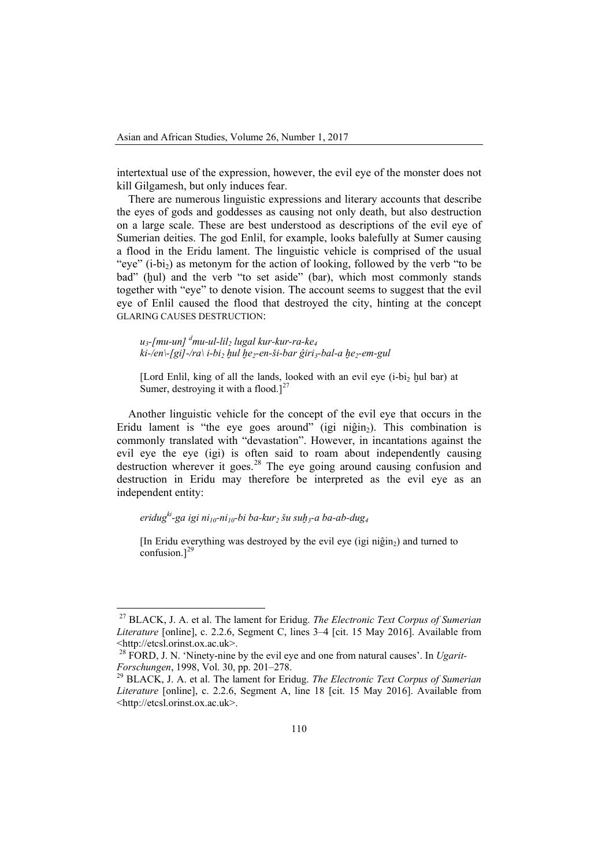intertextual use of the expression, however, the evil eye of the monster does not kill Gilgamesh, but only induces fear.

There are numerous linguistic expressions and literary accounts that describe the eyes of gods and goddesses as causing not only death, but also destruction on a large scale. These are best understood as descriptions of the evil eye of Sumerian deities. The god Enlil, for example, looks balefully at Sumer causing a flood in the Eridu lament. The linguistic vehicle is comprised of the usual "eye"  $(i-bi<sub>2</sub>)$  as metonym for the action of looking, followed by the verb "to be" bad" (hul) and the verb "to set aside" (bar), which most commonly stands together with "eye" to denote vision. The account seems to suggest that the evil eye of Enlil caused the flood that destroyed the city, hinting at the concept GLARING CAUSES DESTRUCTION:

*u3-[mu-un] <sup>d</sup> mu-ul-lil2 lugal kur-kur-ra-ke4 ki-/en\-[gi]-/ra\ i-bi2 ḫul ḫe2-en-ši-bar ĝiri3-bal-a ḫe2-em-gul*

[Lord Enlil, king of all the lands, looked with an evil eye ( $i$ -bi<sub>2</sub>  $\frac{1}{2}$   $\frac{1}{2}$   $\frac{1}{2}$   $\frac{1}{2}$   $\frac{1}{2}$ Sumer, destroying it with a flood.] $^{27}$  $^{27}$  $^{27}$ 

Another linguistic vehicle for the concept of the evil eye that occurs in the Eridu lament is "the eye goes around" (igi niĝin<sub>2</sub>). This combination is commonly translated with "devastation". However, in incantations against the evil eye the eye (igi) is often said to roam about independently causing destruction wherever it goes. [28](#page-8-1) The eye going around causing confusion and destruction in Eridu may therefore be interpreted as the evil eye as an independent entity:

*eridugki-ga igi ni10-ni10-bi ba-kur2 šu suḫ3-a ba-ab-dug4*

 $\overline{a}$ 

[In Eridu everything was destroyed by the evil eye (igi niĝin<sub>2</sub>) and turned to confusion.] [29](#page-8-2)

<span id="page-8-0"></span><sup>27</sup> BLACK, J. A. et al. The lament for Eridug. *The Electronic Text Corpus of Sumerian Literature* [online], c. 2.2.6, Segment C, lines 3–4 [cit. 15 May 2016]. Available from

<span id="page-8-1"></span>Shttp://etcsl.orinst.ox.ac.uk>.<br><sup>28</sup> FORD, J. N. 'Ninety-nine by the evil eye and one from natural causes'. In *Ugarit-*<br>Forschungen, 1998, Vol. 30, pp. 201–278.

<span id="page-8-2"></span><sup>&</sup>lt;sup>29</sup> BLACK, J. A. et al. The lament for Eridug. *The Electronic Text Corpus of Sumerian Literature* [online], c. 2.2.6, Segment A, line 18 [cit. 15 May 2016]. Available from [<http://etcsl.orinst.ox.ac.uk>](http://etcsl.orinst.ox.ac.uk/).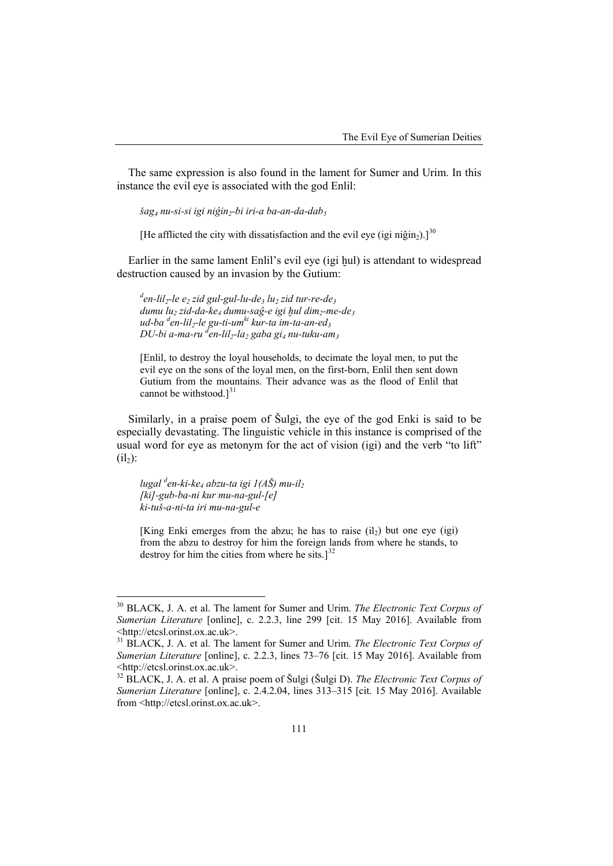The same expression is also found in the lament for Sumer and Urim. In this instance the evil eye is associated with the god Enlil:

*šag4 nu-si-si igi niĝin2-bi iri-a ba-an-da-dab5*

[He afflicted the city with dissatisfaction and the evil eye (igi niĝin<sub>2</sub>).]<sup>[30](#page-9-0)</sup>

Earlier in the same lament Enlil's evil eye (igi hul) is attendant to widespread destruction caused by an invasion by the Gutium:

*d en-lil2-le e2 zid gul-gul-lu-de3 lu2 zid tur-re-de3 dumu lu2 zid-da-ke4 dumu-saĝ-e igi ḫul dim2-me-de3 ud-ba <sup>d</sup> en-lil2-le gu-ti-umki kur-ta im-ta-an-ed3 DU-bi a-ma-ru d en-lil2-la2 gaba gi4 nu-tuku-am3*

[Enlil, to destroy the loyal households, to decimate the loyal men, to put the evil eye on the sons of the loyal men, on the first-born, Enlil then sent down Gutium from the mountains. Their advance was as the flood of Enlil that cannot be withstood.] $^{31}$  $^{31}$  $^{31}$ 

Similarly, in a praise poem of Šulgi, the eye of the god Enki is said to be especially devastating. The linguistic vehicle in this instance is comprised of the usual word for eye as metonym for the act of vision (igi) and the verb "to lift"  $(ii<sub>2</sub>):$ 

*lugal <sup>d</sup> en-ki-ke4 abzu-ta igi 1(AŠ) mu-il2 [ki]-gub-ba-ni kur mu-na-gul-[e] ki-tuš-a-ni-ta iri mu-na-gul-e*

 $\overline{\phantom{a}}$ 

[King Enki emerges from the abzu; he has to raise  $(i_1)$  but one eye (igi) from the abzu to destroy for him the foreign lands from where he stands, to destroy for him the cities from where he sits.] $^{32}$  $^{32}$  $^{32}$ 

<span id="page-9-0"></span><sup>30</sup> BLACK, J. A. et al. The lament for Sumer and Urim. *The Electronic Text Corpus of Sumerian Literature* [online], c. 2.2.3, line 299 [cit. 15 May 2016]. Available from

<span id="page-9-1"></span><sup>&</sup>lt;sup>31</sup> BLACK, J. A. et al. The lament for Sumer and Urim. *The Electronic Text Corpus of Sumerian Literature* [online], c. 2.2.3, lines 73–76 [cit. 15 May 2016]. Available from [<http://etcsl.orinst.ox.ac.uk>](http://etcsl.orinst.ox.ac.uk/). <sup>32</sup> BLACK, J. A. et al. A praise poem of Šulgi (Šulgi D). *The Electronic Text Corpus of* 

<span id="page-9-2"></span>*Sumerian Literature* [online], c. 2.4.2.04, lines 313–315 [cit. 15 May 2016]. Available from [<http://etcsl.orinst.ox.ac.uk>](http://etcsl.orinst.ox.ac.uk/).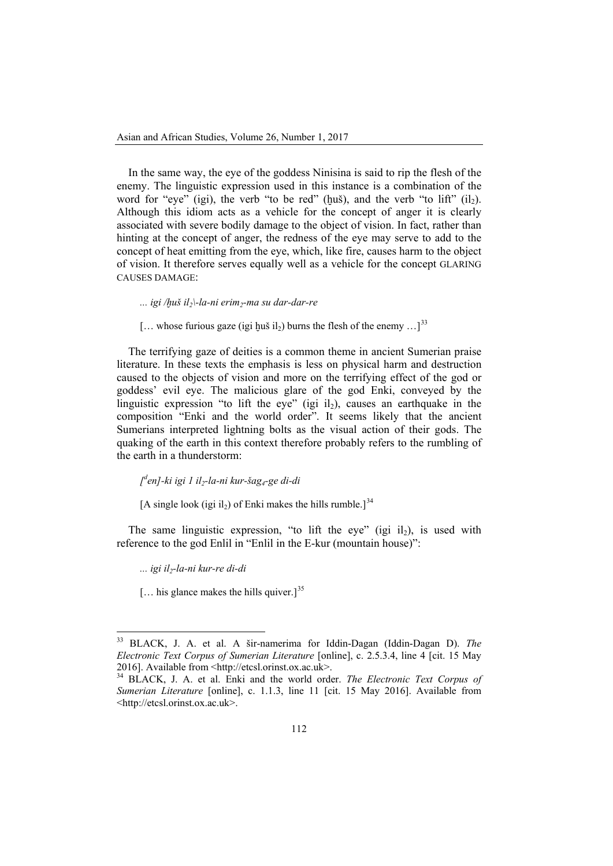In the same way, the eye of the goddess Ninisina is said to rip the flesh of the enemy. The linguistic expression used in this instance is a combination of the word for "eye" (igi), the verb "to be red" ( $\text{huš}$ ), and the verb "to lift" ( $\text{il}_2$ ). Although this idiom acts as a vehicle for the concept of anger it is clearly associated with severe bodily damage to the object of vision. In fact, rather than hinting at the concept of anger, the redness of the eye may serve to add to the concept of heat emitting from the eye, which, like fire, causes harm to the object of vision. It therefore serves equally well as a vehicle for the concept GLARING CAUSES DAMAGE:

*... igi /ḫuš il2\-la-ni erim2-ma su dar-dar-re*

[... whose furious gaze (igi huš il<sub>2</sub>) burns the flesh of the enemy ...]<sup>[33](#page-10-0)</sup>

The terrifying gaze of deities is a common theme in ancient Sumerian praise literature. In these texts the emphasis is less on physical harm and destruction caused to the objects of vision and more on the terrifying effect of the god or goddess' evil eye. The malicious glare of the god Enki, conveyed by the linguistic expression "to lift the eye" (igi il<sub>2</sub>), causes an earthquake in the composition "Enki and the world order". It seems likely that the ancient Sumerians interpreted lightning bolts as the visual action of their gods. The quaking of the earth in this context therefore probably refers to the rumbling of the earth in a thunderstorm:

*[ d en]-ki igi 1 il2-la-ni kur-šag4-ge di-di*

[A single look (igi il<sub>2</sub>) of Enki makes the hills rumble.]<sup>[34](#page-10-1)</sup>

The same linguistic expression, "to lift the eye" (igi il $_2$ ), is used with reference to the god Enlil in "Enlil in the E-kur (mountain house)":

*... igi il2-la-ni kur-re di-di*

<span id="page-10-2"></span> $\overline{\phantom{a}}$ 

[... his glance makes the hills quiver.]<sup>[35](#page-10-2)</sup>

<span id="page-10-0"></span><sup>33</sup> BLACK, J. A. et al. A šir-namerima for Iddin-Dagan (Iddin-Dagan D). *The Electronic Text Corpus of Sumerian Literature* [online], c. 2.5.3.4, line 4 [cit. 15 May 2016]. Available from [<http://etcsl.orinst.ox.ac.uk>](http://etcsl.orinst.ox.ac.uk/).<br><sup>34</sup> BLACK, J. A. et al. Enki and the world order. *The Electronic Text Corpus of* 

<span id="page-10-1"></span>*Sumerian Literature* [online], c. 1.1.3, line 11 [cit. 15 May 2016]. Available from [<http://etcsl.orinst.ox.ac.uk>](http://etcsl.orinst.ox.ac.uk/).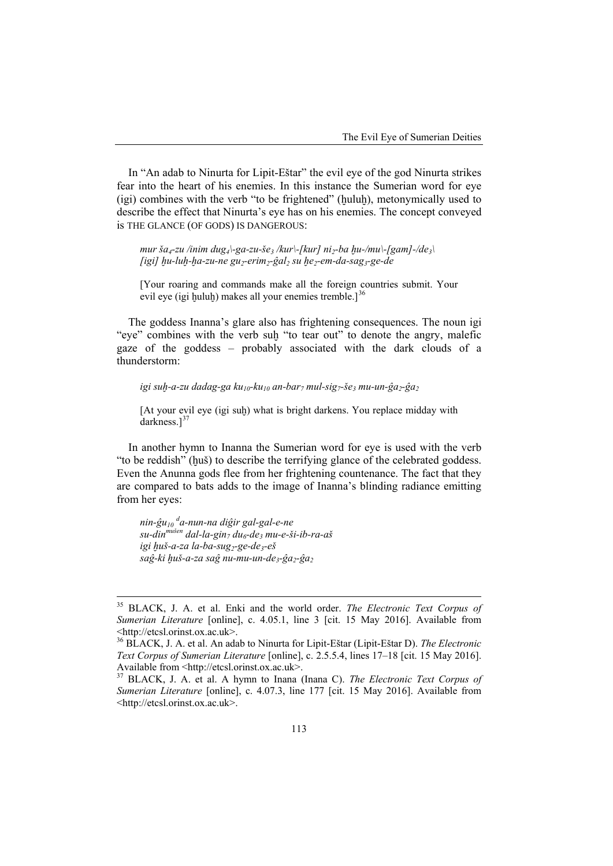In "An adab to Ninurta for Lipit-Eštar" the evil eye of the god Ninurta strikes fear into the heart of his enemies. In this instance the Sumerian word for eve (igi) combines with the verb "to be frightened" (ḫuluḫ), metonymically used to describe the effect that Ninurta's eye has on his enemies. The concept conveyed is THE GLANCE (OF GODS) IS DANGEROUS:

 $mu$ r  $\bar{a}_4$ -zu /inim  $du$ g<sub>4</sub> $\vert$ -ga-zu- $\bar{g}e_3$ /kur $\vert$ -[kur]  $ni_2$ -ba  $hu$ -/mu $\vert$ -[gam]-/de<sub>3</sub> $\vert$ *[igi] ḫu-luḫ-ḫa-zu-ne gu2-erim2-ĝal<sup>2</sup> su ḫe2-em-da-sag3-ge-de*

[Your roaring and commands make all the foreign countries submit. Your evil eye (igi huluh) makes all your enemies tremble. $l^{36}$  $l^{36}$  $l^{36}$ 

The goddess Inanna's glare also has frightening consequences. The noun igi "eye" combines with the verb suḫ "to tear out" to denote the angry, malefic gaze of the goddess – probably associated with the dark clouds of a thunderstorm:

*igi suḫ-a-zu dadag-ga ku10-ku10 an-bar7 mul-sig7-še3 mu-un-ĝa2-ĝa<sup>2</sup>*

[At your evil eye (igi suh) what is bright darkens. You replace midday with darkness.] [37](#page-11-1)

In another hymn to Inanna the Sumerian word for eye is used with the verb "to be reddish" (ḫuš) to describe the terrifying glance of the celebrated goddess. Even the Anunna gods flee from her frightening countenance. The fact that they are compared to bats adds to the image of Inanna's blinding radiance emitting from her eyes:

*nin-ĝu<sup>10</sup> <sup>d</sup> a-nun-na diĝir gal-gal-e-ne su-dinmušen dal-la-gin7 du6-de3 mu-e-ši-ib-ra-aš*  $i$ *gi huš-a-za la-ba-sug<sub>2</sub>-ge-de<sub>3</sub>-eš saĝ-ki ḫuš-a-za saĝ nu-mu-un-de3-ĝa2-ĝa<sup>2</sup>*

 $\overline{\phantom{a}}$ 

<sup>35</sup> BLACK, J. A. et al. Enki and the world order. *The Electronic Text Corpus of Sumerian Literature* [online], c. 4.05.1, line 3 [cit. 15 May 2016]. Available from

<span id="page-11-0"></span><sup>&</sup>lt;sup>36</sup> BLACK, J. A. et al. An adab to Ninurta for Lipit-Eštar (Lipit-Eštar D). *The Electronic Text Corpus of Sumerian Literature* [online], c. 2.5.5.4, lines 17–18 [cit. 15 May 2016]. Available from [<http://etcsl.orinst.ox.ac.uk>](http://etcsl.orinst.ox.ac.uk/).<br><sup>37</sup> BLACK, J. A. et al. A hymn to Inana (Inana C). *The Electronic Text Corpus of* 

<span id="page-11-1"></span>*Sumerian Literature* [online], c. 4.07.3, line 177 [cit. 15 May 2016]. Available from [<http://etcsl.orinst.ox.ac.uk>](http://etcsl.orinst.ox.ac.uk/).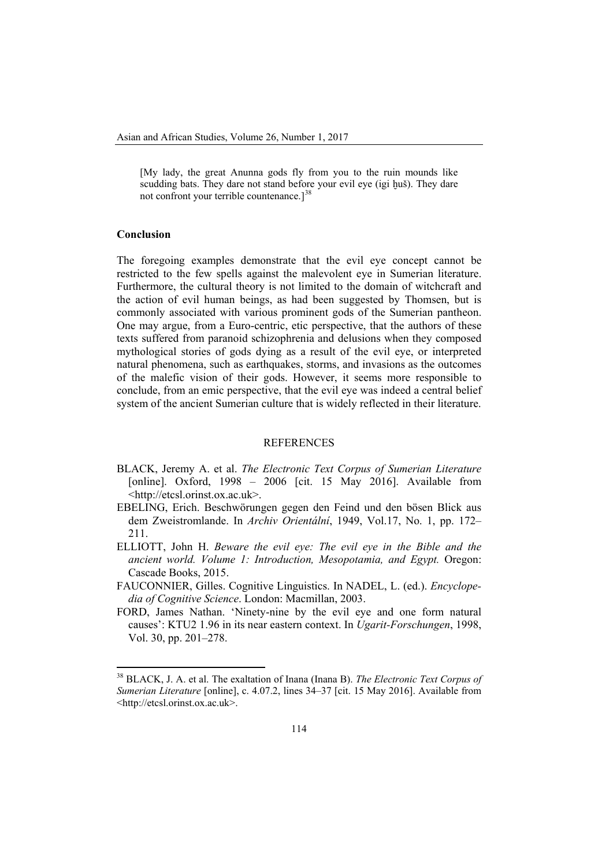[My lady, the great Anunna gods fly from you to the ruin mounds like scudding bats. They dare not stand before your evil eye (igi huš). They dare not confront your terrible countenance.]<sup>[38](#page-12-0)</sup>

#### **Conclusion**

 $\overline{\phantom{a}}$ 

The foregoing examples demonstrate that the evil eye concept cannot be restricted to the few spells against the malevolent eye in Sumerian literature. Furthermore, the cultural theory is not limited to the domain of witchcraft and the action of evil human beings, as had been suggested by Thomsen, but is commonly associated with various prominent gods of the Sumerian pantheon. One may argue, from a Euro-centric, etic perspective, that the authors of these texts suffered from paranoid schizophrenia and delusions when they composed mythological stories of gods dying as a result of the evil eye, or interpreted natural phenomena, such as earthquakes, storms, and invasions as the outcomes of the malefic vision of their gods. However, it seems more responsible to conclude, from an emic perspective, that the evil eye was indeed a central belief system of the ancient Sumerian culture that is widely reflected in their literature.

#### **REFERENCES**

- BLACK, Jeremy A. et al. *The Electronic Text Corpus of Sumerian Literature* [online]. Oxford, 1998 – 2006 [cit. 15 May 2016]. Available from [<http://etcsl.orinst.ox.ac.uk>](http://etcsl.orinst.ox.ac.uk/).
- EBELING, Erich. Beschwörungen gegen den Feind und den bösen Blick aus dem Zweistromlande. In *Archiv Orientální*, 1949, Vol.17, No. 1, pp. 172– 211.
- ELLIOTT, John H. *Beware the evil eye: The evil eye in the Bible and the ancient world. Volume 1: Introduction, Mesopotamia, and Egypt.* Oregon: Cascade Books, 2015.
- FAUCONNIER, Gilles. Cognitive Linguistics. In NADEL, L. (ed.). *Encyclopedia of Cognitive Science*. London: Macmillan, 2003.
- FORD, James Nathan. 'Ninety-nine by the evil eye and one form natural causes': KTU2 1.96 in its near eastern context. In *Ugarit-Forschungen*, 1998, Vol. 30, pp. 201–278.

<span id="page-12-0"></span><sup>38</sup> BLACK, J. A. et al. The exaltation of Inana (Inana B). *The Electronic Text Corpus of Sumerian Literature* [online], c. 4.07.2, lines 34–37 [cit. 15 May 2016]. Available from [<http://etcsl.orinst.ox.ac.uk>](http://etcsl.orinst.ox.ac.uk/).